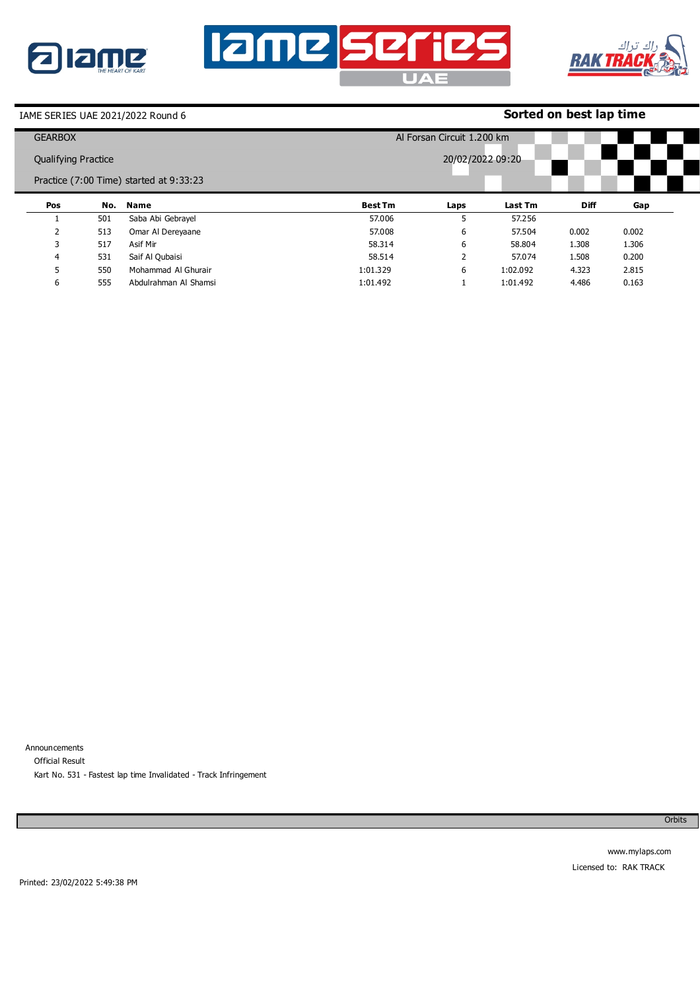





## **Sorted on best lap time**

| <b>GEARBOX</b>             |     |                                         | Al Forsan Circuit 1.200 km |      |          |             |       |  |
|----------------------------|-----|-----------------------------------------|----------------------------|------|----------|-------------|-------|--|
| <b>Qualifying Practice</b> |     |                                         | 20/02/2022 09:20           |      |          |             |       |  |
|                            |     | Practice (7:00 Time) started at 9:33:23 |                            |      |          |             |       |  |
| Pos                        | No. | <b>Name</b>                             | <b>Best Tm</b>             | Laps | Last Tm  | <b>Diff</b> | Gap   |  |
|                            | 501 | Saba Abi Gebrayel                       | 57,006                     |      | 57,256   |             |       |  |
|                            | 513 | Omar Al Dereyaane                       | 57,008                     | 6    | 57.504   | 0.002       | 0.002 |  |
| 3                          | 517 | Asif Mir                                | 58.314                     | 6    | 58,804   | 1.308       | 1.306 |  |
| 4                          | 531 | Saif Al Qubaisi                         | 58.514                     |      | 57.074   | 1.508       | 0.200 |  |
|                            | 550 | Mohammad Al Ghurair                     | 1:01.329                   | 6    | 1:02.092 | 4.323       | 2.815 |  |
| 6                          | 555 | Abdulrahman Al Shamsi                   | 1:01.492                   |      | 1:01.492 | 4.486       | 0.163 |  |

Announcements Official Result Kart No. 531 - Fastest lap time Invalidated - Track Infringement

**Orbits**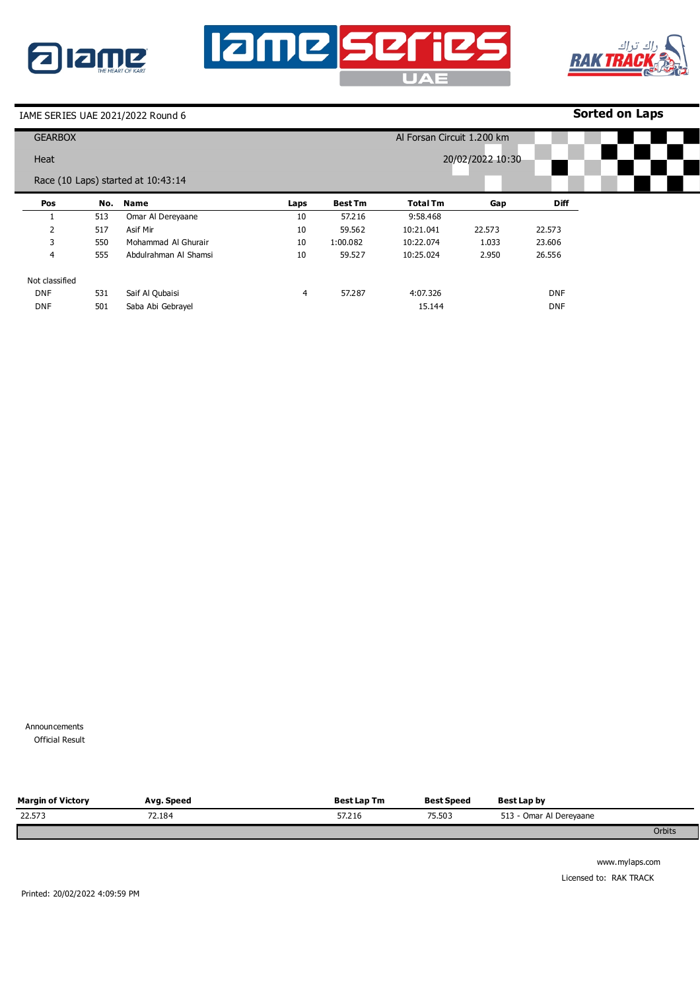





**Sorted on Laps**

|                | <b>GEARBOX</b> |                                    |      |                |                 | Al Forsan Circuit 1.200 km |            |  |  |  |
|----------------|----------------|------------------------------------|------|----------------|-----------------|----------------------------|------------|--|--|--|
| Heat           |                |                                    |      |                |                 | 20/02/2022 10:30           |            |  |  |  |
|                |                | Race (10 Laps) started at 10:43:14 |      |                |                 |                            |            |  |  |  |
| Pos            | No.            | Name                               | Laps | <b>Best Tm</b> | <b>Total Tm</b> | Gap                        | Diff       |  |  |  |
|                | 513            | Omar Al Dereyaane                  | 10   | 57.216         | 9:58.468        |                            |            |  |  |  |
| 2              | 517            | Asif Mir                           | 10   | 59.562         | 10:21.041       | 22.573                     | 22.573     |  |  |  |
| 3              | 550            | Mohammad Al Ghurair                | 10   | 1:00.082       | 10:22.074       | 1.033                      | 23.606     |  |  |  |
| 4              | 555            | Abdulrahman Al Shamsi              | 10   | 59.527         | 10:25.024       | 2.950                      | 26.556     |  |  |  |
| Not classified |                |                                    |      |                |                 |                            |            |  |  |  |
| <b>DNF</b>     | 531            | Saif Al Qubaisi                    | 4    | 57.287         | 4:07.326        |                            | <b>DNF</b> |  |  |  |
| <b>DNF</b>     | 501            | Saba Abi Gebrayel                  |      |                | 15.144          |                            | <b>DNF</b> |  |  |  |

Announcements **Official Result** 

| <b>Margin of Victory</b> | Avg. Speed | <b>Best Lap Tm</b> | <b>Best Speed</b> | Best Lap by             |        |
|--------------------------|------------|--------------------|-------------------|-------------------------|--------|
| 22.573                   | 72.184     | 57.216             | 75.503            | 513 - Omar Al Dereyaane |        |
|                          |            |                    |                   |                         | Orbits |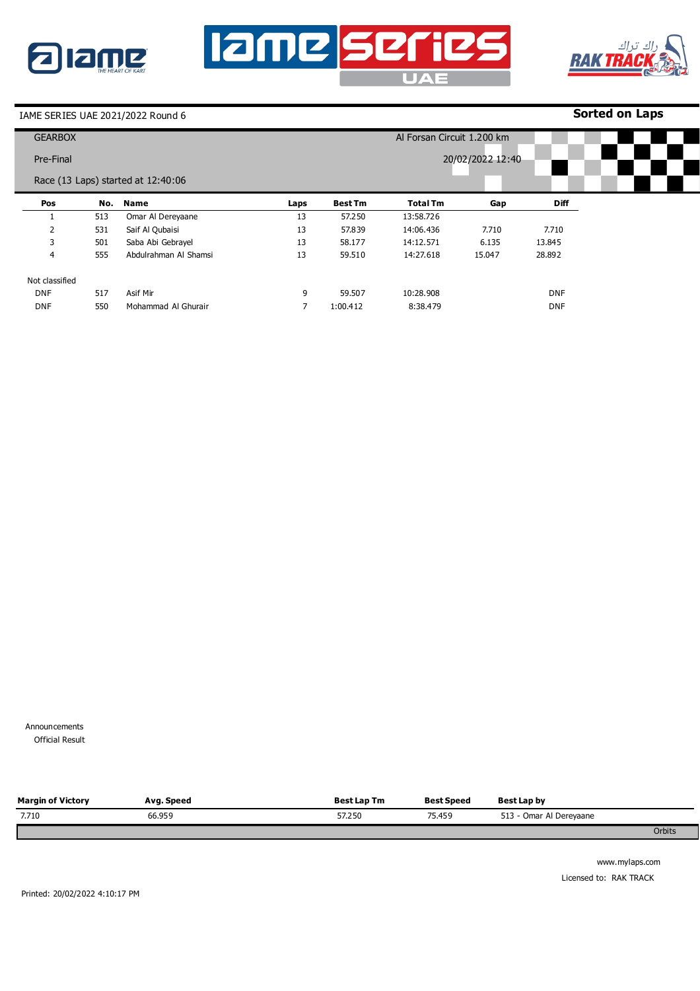





**Sorted on Laps**

| <b>GEARBOX</b> |     |                                    |      |                |                 | Al Forsan Circuit 1.200 km |             |  |  |
|----------------|-----|------------------------------------|------|----------------|-----------------|----------------------------|-------------|--|--|
| Pre-Final      |     |                                    |      |                |                 | 20/02/2022 12:40           |             |  |  |
|                |     | Race (13 Laps) started at 12:40:06 |      |                |                 |                            |             |  |  |
| Pos            | No. | Name                               | Laps | <b>Best Tm</b> | <b>Total Tm</b> | Gap                        | <b>Diff</b> |  |  |
|                | 513 | Omar Al Dereyaane                  | 13   | 57.250         | 13:58.726       |                            |             |  |  |
| 2              | 531 | Saif Al Qubaisi                    | 13   | 57.839         | 14:06.436       | 7.710                      | 7.710       |  |  |
| 3              | 501 | Saba Abi Gebrayel                  | 13   | 58.177         | 14:12.571       | 6.135                      | 13.845      |  |  |
| 4              | 555 | Abdulrahman Al Shamsi              | 13   | 59.510         | 14:27.618       | 15.047                     | 28.892      |  |  |
| Not classified |     |                                    |      |                |                 |                            |             |  |  |
| <b>DNF</b>     | 517 | Asif Mir                           | 9    | 59.507         | 10:28.908       |                            | <b>DNF</b>  |  |  |
| <b>DNF</b>     | 550 | Mohammad Al Ghurair                |      | 1:00.412       | 8:38.479        |                            | <b>DNF</b>  |  |  |

Announcements **Official Result** 

| <b>Margin of Victory</b> | Avg. Speed | <b>Best Lap Tm</b> | <b>Best Speed</b> | Best Lap by             |        |
|--------------------------|------------|--------------------|-------------------|-------------------------|--------|
| 7.710                    | 66.959     | 57,250             | 75.459            | 513 - Omar Al Dereyaane |        |
|                          |            |                    |                   |                         | Orbits |